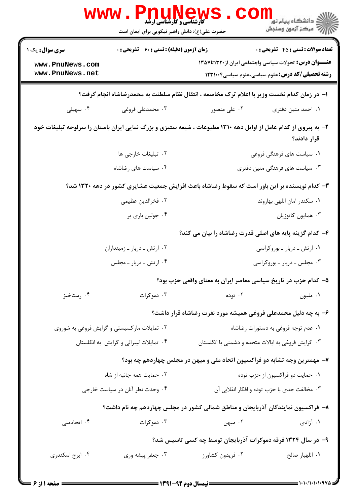| <b>WWW</b>                         | <b>FUTTAGM2</b><br><b>5 کارشناسی و کارشناسی ارشد</b><br>حضرت علی(ع): دانش راهبر نیکویی برای ایمان است |                                                                                                                 | ڪ دانشڪاه پيام نور<br><mark>∕</mark> 7 مرڪز آزمون وسنڊش |
|------------------------------------|-------------------------------------------------------------------------------------------------------|-----------------------------------------------------------------------------------------------------------------|---------------------------------------------------------|
| <b>سری سوال :</b> یک ۱             | <b>زمان آزمون (دقیقه) : تستی : 60 ٪ تشریحی : 0</b>                                                    |                                                                                                                 | <b>تعداد سوالات : تستي : 45 گشريحي : 0</b>              |
| www.PnuNews.com<br>www.PnuNews.net |                                                                                                       | <b>عنـــوان درس:</b> تحولات سیاسی واجتماعی ایران از۱۳۲۰تا۱۳۵۷                                                   | <b>رشته تحصیلی/کد درس:</b> علوم سیاسی،علوم سیاسی1۲۳۱۰۰۴ |
|                                    |                                                                                                       | ا– در زمان کدام نخست وزیر با اعلام ترک مخاصمه ، انتقال نظام سلطنت به محمدرضاشاه انجام گرفت؟                     |                                                         |
| ۰۴ سهيلى                           | ۰۳ محمدعلی فروغی                                                                                      | ۰۲ علی منصور                                                                                                    | ۰۱ احمد متين دفترى                                      |
|                                    |                                                                                                       | ۲- به پیروی از کدام عامل از اوایل دهه ۱۳۱۰ مطبوعات ، شیعه ستیزی و بزرگ نمایی ایران باستان را سرلوحه تبلیغات خود | قرار دادند؟                                             |
|                                    | ٢. تبليغات خارجي ها                                                                                   |                                                                                                                 | ۰۱ سیاست های فرهنگی فروغی                               |
|                                    | ۰۴ سیاست های رضاشاه                                                                                   |                                                                                                                 | ۰۳ سیاست های فرهنگی متین دفتری                          |
|                                    |                                                                                                       | ۳- کدام نویسنده بر این باور است که سقوط رضاشاه باعث افزایش جمعیت عشایری کشور در دهه ۱۳۲۰ شد؟                    |                                                         |
|                                    | ٢. فخرالدين عظيمي                                                                                     |                                                                                                                 | ۰۱ سكندر امان اللهي بهاروند                             |
|                                    | ۰۴ جولین باری پر                                                                                      |                                                                                                                 | ۰۳ همايون كاتوزيان                                      |
|                                    |                                                                                                       | ۴- کدام گزینه پایه های اصلی قدرت رضاشاه را بیان می کند؟                                                         |                                                         |
|                                    | ۰۲ ارتش ـ دربار ـ زمینداران                                                                           |                                                                                                                 | ۰۱ ارتش ـ دربار ـ بوروکراسی                             |
|                                    | ۰۴ ارتش ـ دربار ـ مجلس                                                                                |                                                                                                                 | ۰۳ مجلس ـ دربار ـ بوروكراسي                             |
|                                    |                                                                                                       | ۵– کدام حزب در تاریخ سیاسی معاصر ایران به معنای واقعی حزب بود؟                                                  |                                                         |
| ۰۴ رستاخيز                         | ۰۳ دموکرات                                                                                            | ۰۲ توده                                                                                                         | ٠١ مليون                                                |
|                                    |                                                                                                       | ۶– به چه دلیل محمدعلی فروغی همیشه مورد نفرت رضاشاه قرار داشت؟                                                   |                                                         |
|                                    | ۰۲ تمایلات مارکسیستی و گرایش فروغی به شوروی                                                           |                                                                                                                 | ۰۱ عدم توجه فروغی به دستورات رضاشاه                     |
|                                    | ۰۴ تمایلات لیبرالی و گرایش به انگلستان                                                                | ۰۳ گرایش فروغی به ایالات متحده و دشمنی با انگلستان                                                              |                                                         |
|                                    |                                                                                                       | ۷- مهمترین وجه تشابه دو فراکسیون اتحاد ملی و میهن در مجلس چهاردهم چه بود؟                                       |                                                         |
| ۰۲ حمایت همه جانبه از شاه          |                                                                                                       | ۰۱ حمایت دو فراکسیون از حزب توده                                                                                |                                                         |
|                                    | ۰۴ وحدت نظر آنان در سیاست خارجی                                                                       |                                                                                                                 | ۰۳ مخالفت جدی با حزب توده و افکار انقلابی آن            |
|                                    |                                                                                                       | ۸– فراکسیون نمایندگان آذربایجان و مناطق شمالی کشور در مجلس چهاردهم چه نام داشت؟                                 |                                                         |
| ۰۴ اتحادملی                        | ۰۳ دموکرات                                                                                            | ۰۲ میهن                                                                                                         | ۰۱ آزادی                                                |
|                                    |                                                                                                       | ۹– در سال ۱۳۲۴ فرقه دموکرات آذربایجان توسط چه کسی تاسیس شد؟                                                     |                                                         |
| ۰۴ ایرج اسکندری                    | ۰۳ جعفر پیشه وری                                                                                      | ۰۲ فریدون کشاورز                                                                                                | ٠١. اللهيار صالح                                        |
|                                    |                                                                                                       |                                                                                                                 |                                                         |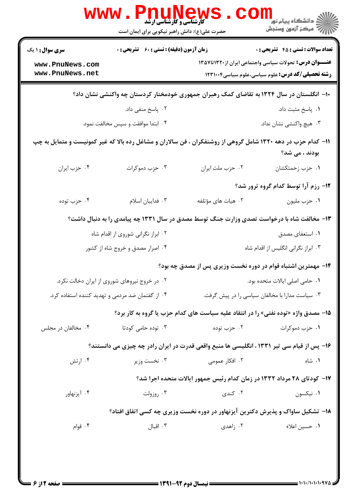|                                                  | <b>ٔ کارشناسی و کارشناسی ارشد</b><br>حضرت علی(ع): دانش راهبر نیکویی برای ایمان است |                                     | <mark>ک</mark> دانشگاه پیام نو <mark>ر</mark><br>ج <i>" مرڪ</i> ز آزمون وسنڊش                                                  |
|--------------------------------------------------|------------------------------------------------------------------------------------|-------------------------------------|--------------------------------------------------------------------------------------------------------------------------------|
| <b>سری سوال : ۱ یک</b>                           | زمان آزمون (دقیقه) : تستی : 60 ٪ تشریحی : 0                                        |                                     | <b>تعداد سوالات : تستي : 45 - تشريحي : 0</b>                                                                                   |
| www.PnuNews.com<br>www.PnuNews.net               |                                                                                    |                                     | <b>عنـــوان درس:</b> تحولات سیاسی واجتماعی ایران از۱۳۲۰تا۱۳۵۷<br><b>رشته تحصیلی/کد درس:</b> علوم سیاسی،علوم سیاسی1۲۳۱۰۰۴       |
|                                                  |                                                                                    |                                     | ∙۱− انگلستان در سال ۱۳۲۴ به تقاضای کمک رهبران جمهوری خودمختار کردستان چه واکنشی نشان داد؟                                      |
|                                                  | ۰۲ پاسخ منفی داد.                                                                  |                                     | ٠١. پاسخ مثبت داد.                                                                                                             |
|                                                  | ۰۴ ابتدا موافقت و سپس مخالفت نمود.                                                 | ۰۳ هيچ واكنشي نشان نداد.            |                                                                                                                                |
|                                                  |                                                                                    |                                     | ۱۱– کدام حزب در دهه ۱۳۲۰ شامل گروهی از روشنفکران ، فن سالاران و مشاغل رده بالا که غیر کمونیست و متمایل به چپ<br>بودند ، می شد؟ |
| ۰۴ حزب ايران                                     | ۰۳ حزب دموکرات                                                                     | ٠٢ حزب ملت ايران                    | ۰۱ حزب زحمتکشان                                                                                                                |
|                                                  |                                                                                    |                                     | ۱۲- رزم آرا توسط کدام گروه ترور شد؟                                                                                            |
| ۰۴ حزب توده                                      | ٠٣ فداييان اسلام                                                                   | ۰۲ هیات های مؤتلفه                  | ٠١ حزب مليون                                                                                                                   |
|                                                  |                                                                                    |                                     | ۱۳- مخالفت شاه با درخواست تصدی وزارت جنگ توسط مصدق در سال ۱۳۳۱ چه پیامدی را به دنبال داشت؟                                     |
|                                                  | ۰۲ ابراز نگرانی شوروی از اقدام شاه                                                 |                                     | ۰۱ استعفای مصدق                                                                                                                |
|                                                  | ۰۴ اصرار مصدق و خروج شاه از کشور                                                   | ۰۳ ابراز نگرانی انگلیس از اقدام شاه |                                                                                                                                |
|                                                  |                                                                                    |                                     | ۱۴– مهمترین اشتباه قوام در دوره نخست وزیری پس از مصدق چه بود؟                                                                  |
|                                                  | ۰۲ در خروج نیروهای شوروی از ایران دخالت نکرد.                                      | ۰۱ حامی اصلی ایالات متحده بود.      |                                                                                                                                |
| ۰۴ از گفتمان ضد مردمی و تهدید کننده استفاده کرد. |                                                                                    |                                     | ۰۳ سیاست مدارا با مخالفان سیاسی را در پیش گرفت.                                                                                |
|                                                  |                                                                                    |                                     | 15- مصدق واژه «توده نفتي» را در انتقاد علیه سیاست های کدام حزب یا گروه به کار برد؟                                             |
| ۰۴ مخالفان در مجلس                               | ۰۳ توده حامی کودتا                                                                 | ۰۲ حزب توده                         | ۰۱ حزب دموکرات                                                                                                                 |
|                                                  |                                                                                    |                                     | ۱۶– پس از قیام سی تیر ۱۳۳۱ ، انگلیسی ها منبع واقعی قدرت در ایران رادر چه چیزی می دانستند؟                                      |
| ۰۴ ارتش                                          | ۰۳ نخست وزیر                                                                       | ۰۲ افکار عمومی                      | ۰۱ شاه                                                                                                                         |
|                                                  |                                                                                    |                                     | ۱۷– کودتای ۲۸ مرداد ۱۳۳۲ در زمان کدام رئیس جمهور ایالات متحده اجرا شد؟                                                         |
| ۰۴ آیزنهاور                                      | ۰۳ روزولت                                                                          | ۰۲ کندی                             | ٠١ نيكسون                                                                                                                      |
|                                                  |                                                                                    |                                     | ۱۸- تشکیل ساواک و پذیرش دکترین آیزنهاور در دوره نخست وزیری چه کسی اتفاق افتاد؟                                                 |
| ۰۴ قوام                                          | ۰۳ اقبال                                                                           | ۰۲ زاهدی                            | ٠١. حسين اعلاء                                                                                                                 |
|                                                  |                                                                                    |                                     |                                                                                                                                |
|                                                  |                                                                                    |                                     |                                                                                                                                |
|                                                  |                                                                                    |                                     |                                                                                                                                |

a a shekara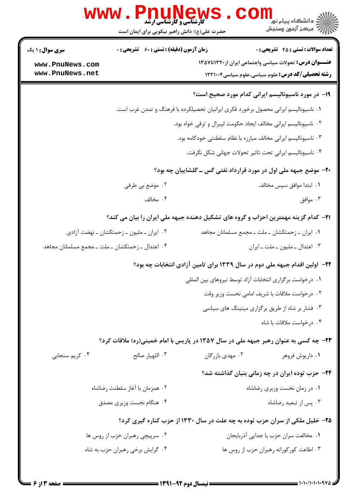|                                                  | <b>WWW.PNUP</b><br><b>کارشناسی و کارشناسی ارشد</b><br>حضرت علی(ع): دانش راهبر نیکویی برای ایمان است |                                                                                     | ر دانشڪاه پيام نور <mark>−ا</mark><br>۾ مرکز آزمون وسنجش                                                                  |  |
|--------------------------------------------------|-----------------------------------------------------------------------------------------------------|-------------------------------------------------------------------------------------|---------------------------------------------------------------------------------------------------------------------------|--|
| <b>سری سوال : ۱ یک</b>                           | <b>زمان آزمون (دقیقه) : تستی : 60 ٪ تشریحی : 0</b>                                                  |                                                                                     | <b>تعداد سوالات : تستي : 45 - تشريحي : 0</b>                                                                              |  |
| www.PnuNews.com<br>www.PnuNews.net               |                                                                                                     |                                                                                     | <b>عنـــوان درس:</b> تحولات سیاسی واجتماعی ایران از ۱۳۲۰تا۱۳۵۷<br><b>رشته تحصیلی/کد درس:</b> علوم سیاسی،علوم سیاسی1۲۳۱۰۰۴ |  |
|                                                  |                                                                                                     |                                                                                     | ۱۹- در مورد ناسیونالیسم ایرانی کدام مورد صحیح است؟                                                                        |  |
|                                                  |                                                                                                     | ۰۱ ناسیونالیسم ایرانی محصول برخورد فکری ایرانیان تحصیلکرده با فرهنگ و تمدن غرب است. |                                                                                                                           |  |
|                                                  | ٠٢ ناسيوناليسم ايراني مخالف ايجاد حكومت ليبرال و ترقى خواه بود.                                     |                                                                                     |                                                                                                                           |  |
|                                                  |                                                                                                     | ۰۳ ناسیونالیسم ایرانی مخالف مبارزه با نظام سلطنتی خودکامه بود.                      |                                                                                                                           |  |
|                                                  |                                                                                                     |                                                                                     | ۰۴ ناسیونالیسم ایرانی تحت تاثیر تحولات جهانی شکل نگرفت.                                                                   |  |
|                                                  |                                                                                                     |                                                                                     | ۲۰- موضع جبهه ملی اول در مورد قرارداد نفتی گس ــ گلشاییان چه بود؟                                                         |  |
|                                                  | ۰۲ موضع بی طرفی                                                                                     |                                                                                     | ٠١. ابتدا موافق سپس مخالف                                                                                                 |  |
|                                                  | ۰۴ مخالف                                                                                            |                                                                                     | ۰۳ موافق                                                                                                                  |  |
|                                                  |                                                                                                     |                                                                                     | <b>۲۱</b> - کدام گزینه مهمترین احزاب و گروه های تشکیل دهنده جبهه ملی ایران را بیان می کند؟                                |  |
|                                                  | ۰۲ ایران ــ ملیون ــ زحمتکشان ــ نهضت آزادی                                                         |                                                                                     | ۰۱ ایران ــ زحمتکشان ــ ملت ــ مجمع مسلمانان مجاهد                                                                        |  |
| ۰۴ اعتدال ـ زحمتکشان ـ ملت ـ مجمع مسلمانان مجاهد |                                                                                                     |                                                                                     | ۰۳ اعتدال ـ مليون ـ ملت ـ ايران                                                                                           |  |
|                                                  |                                                                                                     |                                                                                     | ۲۲– اولین اقدام جبهه ملی دوم در سال ۱۳۳۹ برای تامین آزادی انتخابات چه بود؟                                                |  |
|                                                  |                                                                                                     | ٠١ درخواست برگزاري انتخابات آزاد توسط نيروهاي بين المللي                            |                                                                                                                           |  |
|                                                  |                                                                                                     |                                                                                     | ٠٢ درخواست ملاقات با شريف امامي نخست وزير وقت                                                                             |  |
|                                                  |                                                                                                     |                                                                                     | ۰۳ فشار بر شاه از طریق برگزاری میتینگ های سیاسی                                                                           |  |
|                                                  |                                                                                                     |                                                                                     | ۰۴ درخواست ملاقات با شاه                                                                                                  |  |
|                                                  |                                                                                                     |                                                                                     | ۲۳- چه کسی به عنوان رهبر جبهه ملی در سال ۱۳۵۷ در پاریس با امام خمینی(ره) ملاقات کرد؟                                      |  |
| ۰۴ کريم سنجابي                                   | ٠٣ اللهيار صالح                                                                                     | ۰۲ مهدی بازرگان                                                                     | ۰۱ داريوش فروهر                                                                                                           |  |
|                                                  |                                                                                                     |                                                                                     | ۲۴– حزب توده ایران در چه زمانی بنیان گذاشته شد؟                                                                           |  |
|                                                  | ۰۲ همزمان با آغاز سلطنت رضاشاه                                                                      |                                                                                     | ٠١ در زمان نخست وزيرى رضاشاه                                                                                              |  |
|                                                  | ۰۴ هنگام نخست وزيري مصدق                                                                            |                                                                                     | ۰۳ پس از تبعید رضاشاه                                                                                                     |  |
|                                                  |                                                                                                     |                                                                                     | ۲۵- خلیل ملکی از سران حزب توده به چه علت در سال ۱۳۳۰ از حزب کناره گیری کرد؟                                               |  |
|                                                  | ۰۲ سرپیچی رهبران حزب از روس ها                                                                      |                                                                                     | ٠١. مخالفت سران حزب با جدايي آذربايجان                                                                                    |  |
|                                                  | ۰۴ گرايش برخي رهبران حزب به شاه                                                                     |                                                                                     | ۰۳ اطاعت کورکورانه رهبران حزب از روس ها                                                                                   |  |
|                                                  |                                                                                                     |                                                                                     |                                                                                                                           |  |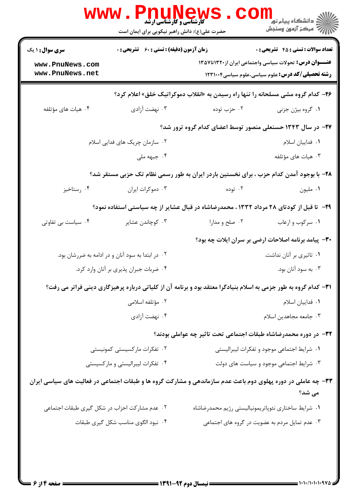|                                                              | www.Pnu<br><b>کارشناسی و کارشناسی ارشد</b><br>حضرت علی(ع): دانش راهبر نیکویی برای ایمان است |                                                                                                                 | ر دانشڪاه پيام نور<br>ا∛ مرکز آزمون وسنڊش                                                                                                                              |
|--------------------------------------------------------------|---------------------------------------------------------------------------------------------|-----------------------------------------------------------------------------------------------------------------|------------------------------------------------------------------------------------------------------------------------------------------------------------------------|
| <b>سری سوال : ۱ یک</b><br>www.PnuNews.com<br>www.PnuNews.net | <b>زمان آزمون (دقیقه) : تستی : 60 ٪ تشریحی : 0</b>                                          |                                                                                                                 | <b>تعداد سوالات : تستی : 45 گشریحی : 0</b><br><b>عنـــوان درس:</b> تحولات سیاسی واجتماعی ایران از۱۳۲۰تا۱۳۵۷<br><b>رشته تحصیلی/کد درس:</b> علوم سیاسی،علوم سیاسی1۲۳۱۰۰۴ |
|                                                              |                                                                                             | <b>۲۶</b> - کدام گروه مشی مسلحانه را تنها راه رسیدن به «انقلاب دموکراتیک خلق» اعلام کرد؟                        |                                                                                                                                                                        |
| ۰۴ هیات های مؤتلفه                                           | ۰۳ نهضت آزادی                                                                               | ۰۲ حزب توده                                                                                                     | ۰۱ گروه بیژن جزنی                                                                                                                                                      |
|                                                              |                                                                                             | ۲۷– در سال ۱۳۴۳ حسنعلی منصور توسط اعضای کدام گروه ترور شد؟                                                      |                                                                                                                                                                        |
|                                                              | ۰۲ سازمان چریک های فدایی اسلام                                                              |                                                                                                                 | ٠١. فداييان اسلام                                                                                                                                                      |
|                                                              | ۰۴ جبهه ملی                                                                                 |                                                                                                                 | ۰۳ هیات های مؤتلفه                                                                                                                                                     |
|                                                              |                                                                                             | ۲۸– با بوجود آمدن کدام حزب ، برای نخستین باردر ایران به طور رسمی نظام تک حزبی مستقر شد؟                         |                                                                                                                                                                        |
| ۰۴ رستاخیز                                                   | ۰۳ دموکرات ایران                                                                            | ۰۲ توده                                                                                                         | ٠١ مليون                                                                                                                                                               |
|                                                              |                                                                                             | ۲۹- تا قبل از کودتای ۲۸ مرداد ۱۳۳۲ ، محمدرضاشاه در قبال عشایر از چه سیاستی استفاده نمود؟                        |                                                                                                                                                                        |
| ۰۴ سیاست بی تفاوتی                                           | ۰۳ کوچاندن عشایر                                                                            | ۰۲ صلح و مدارا                                                                                                  | ۰۱ سرکوب و ارعاب                                                                                                                                                       |
|                                                              |                                                                                             |                                                                                                                 | ۳۰- پیامد برنامه اصلاحات ارضی بر سران ایلات چه بود؟                                                                                                                    |
|                                                              | ۰۲ در ابتدا به سود آنان و در ادامه به ضررشان بود.                                           |                                                                                                                 | ۰۱ تاثیری بر آنان نداشت.                                                                                                                                               |
| ۰۴ ضربات جبران پذیری بر آنان وارد کرد.                       |                                                                                             | ۰۳ به سود آنان بود.                                                                                             |                                                                                                                                                                        |
|                                                              |                                                                                             | ۳۱- کدام گروه به طور جزمی به اسلام بنیادگرا معتقد بود و برنامه آن از کلیاتی درباره پرهیزگاری دینی فراتر می رفت؟ |                                                                                                                                                                        |
|                                                              | ۰۲ مؤتلفه اسلامی                                                                            |                                                                                                                 | ٠١ فداييان اسلام                                                                                                                                                       |
|                                                              | ۰۴ نهضت آزادي                                                                               |                                                                                                                 | ۰۳ جامعه مجاهدين اسلام                                                                                                                                                 |
|                                                              |                                                                                             | ٣٢- در دوره محمدرضاشاه طبقات اجتماعی تحت تاثیر چه عواملی بودند؟                                                 |                                                                                                                                                                        |
|                                                              | ۰۲ تفکرات مارکسیستی کمونیستی                                                                |                                                                                                                 | ٠١ شرايط اجتماعي موجود و تفكرات ليبراليستي                                                                                                                             |
|                                                              | ۰۴ تفکرات لیبرالیستی و مارکسیستی                                                            |                                                                                                                 | ۰۳ شرایط اجتماعی موجود و سیاست های دولت                                                                                                                                |
|                                                              |                                                                                             | ۳۳- چه عاملی در دوره پهلوی دوم باعث عدم سازماندهی و مشارکت گروه ها و طبقات اجتماعی در فعالیت های سیاسی ایران    | می شد؟                                                                                                                                                                 |
| ۰۲ عدم مشارکت احزاب در شکل گیری طبقات اجتماعی                |                                                                                             | ٠١ شرايط ساختاري نئوپاتريمونياليستي رژيم محمدرضاشاه                                                             |                                                                                                                                                                        |
|                                                              | ۰۴ نبود الگوی مناسب شکل گیری طبقات                                                          |                                                                                                                 | ۰۳ عدم تمایل مردم به عضویت در گروه های اجتماعی                                                                                                                         |
|                                                              |                                                                                             |                                                                                                                 |                                                                                                                                                                        |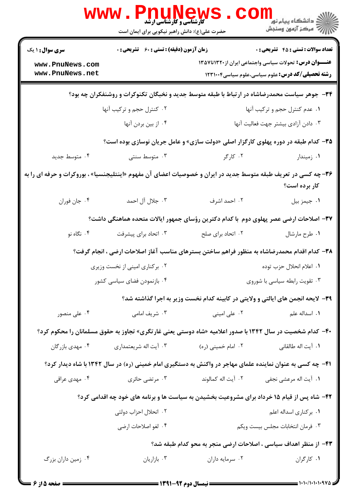|                                                                                                                | <b>WWW</b><br><b>کارشناسی و کارشناسی ارشد</b><br>حضرت علی(ع): دانش راهبر نیکویی برای ایمان است |                                                                                                           | ڪ دانشڪاه پيام نور<br><mark>∕</mark> 7 مرڪز آزمون وسنڊش                                      |
|----------------------------------------------------------------------------------------------------------------|------------------------------------------------------------------------------------------------|-----------------------------------------------------------------------------------------------------------|----------------------------------------------------------------------------------------------|
| <b>سری سوال :</b> ۱ یک                                                                                         | زمان آزمون (دقیقه) : تستی : ۶۰٪ تشریحی : ۰                                                     |                                                                                                           | <b>تعداد سوالات : تستي : 45 گشريحي : 0</b>                                                   |
| www.PnuNews.com<br>www.PnuNews.net                                                                             |                                                                                                |                                                                                                           | <b>عنـــوان درس:</b> تحولات سیاسی واجتماعی ایران از۱۳۲۰تا۱۳۵۷                                |
|                                                                                                                |                                                                                                |                                                                                                           | <b>رشته تحصیلی/کد درس:</b> علوم سیاسی،علوم سیاسی1۲۳۱۰۰۴                                      |
|                                                                                                                |                                                                                                | ۳۴- جوهر سیاست محمدرضاشاه در ارتباط با طبقه متوسط جدید و نخبگان تکنوکرات و روشنفکران چه بود؟              |                                                                                              |
|                                                                                                                | ۰۲ کنترل حجم و ترکیب آنها                                                                      |                                                                                                           | ٠١ عدم كنترل حجم وتركيب أنها                                                                 |
|                                                                                                                | ۰۴ از بین بردن آنها                                                                            |                                                                                                           | ٠٣ دادن آزادى بيشتر جهت فعاليت آنها                                                          |
|                                                                                                                |                                                                                                | <b>۳۵</b> - کدام طبقه در دوره پهلوی کارگزار اصلی «دولت سازی» و عامل جریان نوسازی بوده است؟                |                                                                                              |
| ۰۴ متوسط جدید                                                                                                  | ۰۳ متوسط سنتی                                                                                  | ۰۲ کارگر                                                                                                  | ۰۱ زمیندار                                                                                   |
| ۳۶- چه کسی در تعریف طبقه متوسط جدید در ایران و خصوصیات اعضای آن مفهوم «اینتلیجنسیا» ، بوروکرات و حرفه ای را به |                                                                                                |                                                                                                           | کار برده است؟                                                                                |
| ۰۴ جان فوران                                                                                                   | ۰۳ جلال آل احمد                                                                                | ۰۲ احمد اشرف                                                                                              | ٠١ جيمز بيل                                                                                  |
|                                                                                                                |                                                                                                | ۳۷– اصلاحات ارضی عصر پهلوی دوم با کدام دکترین رؤسای جمهور ایالات متحده هماهنگی داشت؟                      |                                                                                              |
| ۰۴ نگاه نو                                                                                                     | ۰۳ اتحاد برای پیشرفت                                                                           | ۰۲ اتحاد برای صلح                                                                                         | ٠١ طرح مارشال                                                                                |
|                                                                                                                |                                                                                                |                                                                                                           | ۳۸– کدام اقدام محمدرضاشاه به منظور فراهم ساختن بسترهای مناسب آغاز اصلاحات ارضی ، انجام گرفت؟ |
| ۰۲ برکناری امینی از نخست وزیری<br>٠١. اعلام انحلال حزب توده                                                    |                                                                                                |                                                                                                           |                                                                                              |
| ۰۴ بازنمودن فضای سیاسی کشور                                                                                    |                                                                                                | ۰۳ تقویت رابطه سیاسی با شوروی                                                                             |                                                                                              |
|                                                                                                                |                                                                                                | ۳۹- لایحه انجمن های ایالتی و ولایتی در کابینه کدام نخست وزیر به اجرا گذاشته شد؟                           |                                                                                              |
| ۰۴ علی منصور                                                                                                   | ۰۳ شریف امامی                                                                                  | ۰۲ علی امینی                                                                                              | ۰۱ اسداله علم                                                                                |
|                                                                                                                |                                                                                                | ۴۰- کدام شخصیت در سال ۱۳۴۲ با صدور اعلامیه «شاه دوستی یعنی غارتگری» تجاوز به حقوق مسلمانان را محکوم کرد؟  |                                                                                              |
| ۰۴ مهدی بازرگان                                                                                                | ۰۳ آیت اله شریعتمداری                                                                          | ۰۲ امام خمینی (ره)                                                                                        | ٠١. آيت اله طالقاني                                                                          |
|                                                                                                                |                                                                                                | ۴۱– چه کسی به عنوان نماینده علمای مهاجر در واکنش به دستگیری امام خمینی (ره) در سال ۱۳۴۲ با شاه دیدار کرد؟ |                                                                                              |
| ۰۴ مهدی عراقی                                                                                                  | ۰۳ مرتضى حائرى                                                                                 | ٠٢ آيت اله كمالوند                                                                                        | ۰۱ آیت اله مرعشی نجفی                                                                        |
|                                                                                                                |                                                                                                | ۴۲- شاه پس از قیام ۱۵ خرداد برای مشروعیت بخشیدن به سیاست ها و برنامه های خود چه اقدامی کرد؟               |                                                                                              |
|                                                                                                                | ۰۲ انحلال احزاب دولتی                                                                          |                                                                                                           | ۰۱ برکناری اسداله اعلم                                                                       |
|                                                                                                                | ۰۴ لغو اصلاحات ارضى                                                                            |                                                                                                           | ٠٣ فرمان انتخابات مجلس بيست ويكم                                                             |
|                                                                                                                |                                                                                                | ۴۳– از منظر اهداف سیاسی ، اصلاحات ارضی منجر به محو کدام طبقه شد؟                                          |                                                                                              |
| ۰۴ زمین داران بزرگ                                                                                             | ۰۳ بازاریان                                                                                    | ۰۲ سرمایه داران                                                                                           | ٠١. كاركران                                                                                  |

۱۰۱۰/۱۰۱۰۱۰